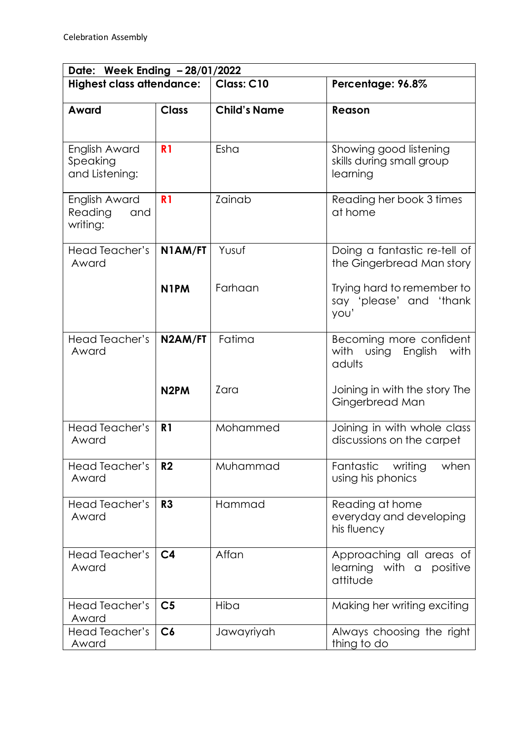| Date: Week Ending - 28/01/2022              |                   |                     |                                                                    |  |  |
|---------------------------------------------|-------------------|---------------------|--------------------------------------------------------------------|--|--|
| <b>Highest class attendance:</b>            |                   | Class: C10          | Percentage: 96.8%                                                  |  |  |
| Award                                       | <b>Class</b>      | <b>Child's Name</b> | Reason                                                             |  |  |
| English Award<br>Speaking<br>and Listening: | R <sub>1</sub>    | Esha                | Showing good listening<br>skills during small group<br>learning    |  |  |
| English Award<br>Reading<br>and<br>writing: | R <sub>1</sub>    | Zainab              | Reading her book 3 times<br>at home                                |  |  |
| Head Teacher's<br>Award                     | N1AM/FT           | Yusuf               | Doing a fantastic re-tell of<br>the Gingerbread Man story          |  |  |
|                                             | N <sub>1</sub> PM | Farhaan             | Trying hard to remember to<br>say 'please' and 'thank<br>you'      |  |  |
| <b>Head Teacher's</b><br>Award              | N2AM/FT           | Fatima              | Becoming more confident<br>with using<br>English<br>with<br>adults |  |  |
|                                             | N <sub>2</sub> PM | Zara                | Joining in with the story The<br>Gingerbread Man                   |  |  |
| Head Teacher's<br>Award                     | R <sub>1</sub>    | Mohammed            | Joining in with whole class<br>discussions on the carpet           |  |  |
| <b>Head Teacher's</b><br>Award              | R <sub>2</sub>    | Muhammad            | Fantastic<br>writing<br>when<br>using his phonics                  |  |  |
| Head Teacher's<br>Award                     | R <sub>3</sub>    | Hammad              | Reading at home<br>everyday and developing<br>his fluency          |  |  |
| Head Teacher's<br>Award                     | C <sub>4</sub>    | Affan               | Approaching all areas of<br>learning with a positive<br>attitude   |  |  |
| Head Teacher's<br>Award                     | C <sub>5</sub>    | Hiba                | Making her writing exciting                                        |  |  |
| Head Teacher's<br>Award                     | C6                | Jawayriyah          | Always choosing the right<br>thing to do                           |  |  |